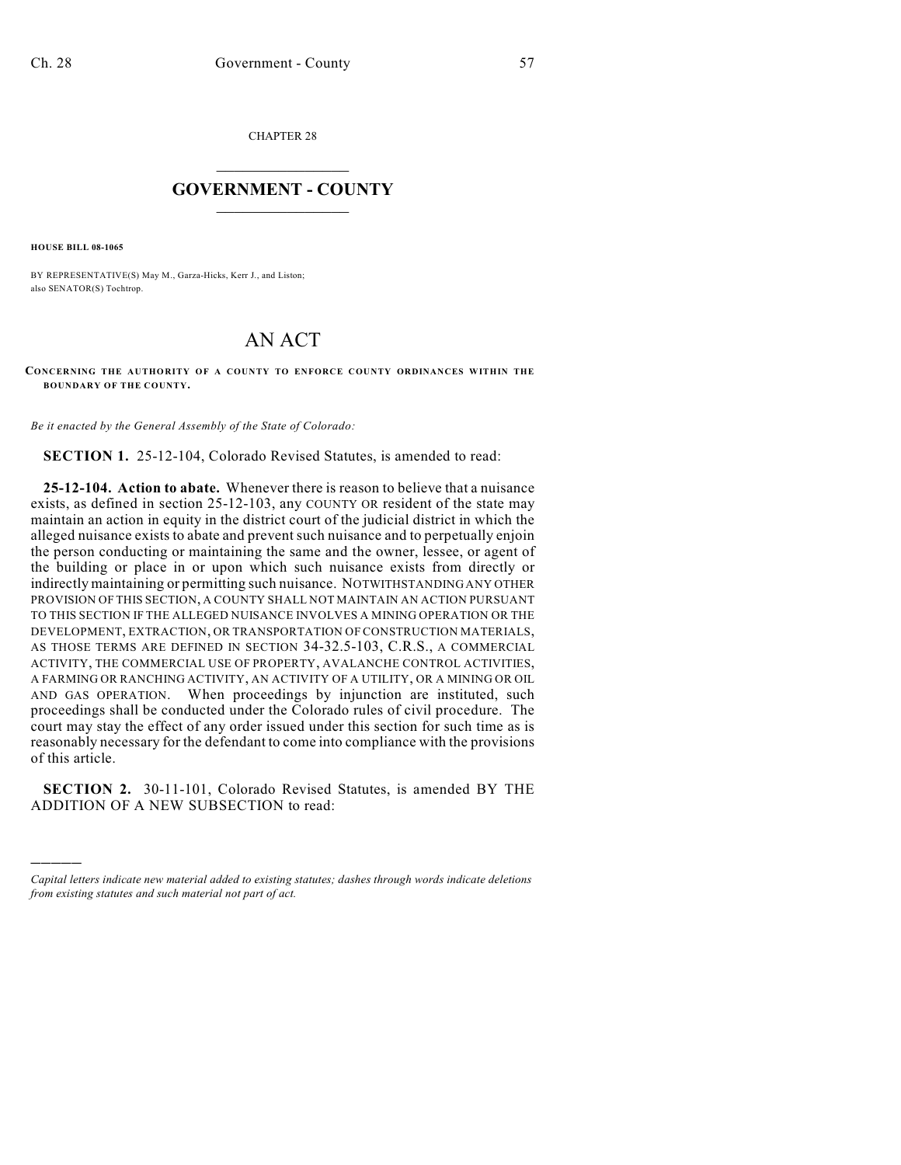CHAPTER 28

## $\overline{\phantom{a}}$  . The set of the set of the set of the set of the set of the set of the set of the set of the set of the set of the set of the set of the set of the set of the set of the set of the set of the set of the set o **GOVERNMENT - COUNTY**  $\_$

**HOUSE BILL 08-1065**

)))))

BY REPRESENTATIVE(S) May M., Garza-Hicks, Kerr J., and Liston; also SENATOR(S) Tochtrop.

## AN ACT

**CONCERNING THE AUTHORITY OF A COUNTY TO ENFORCE COUNTY ORDINANCES WITHIN THE BOUNDARY OF THE COUNTY.**

*Be it enacted by the General Assembly of the State of Colorado:*

**SECTION 1.** 25-12-104, Colorado Revised Statutes, is amended to read:

**25-12-104. Action to abate.** Whenever there is reason to believe that a nuisance exists, as defined in section 25-12-103, any COUNTY OR resident of the state may maintain an action in equity in the district court of the judicial district in which the alleged nuisance exists to abate and prevent such nuisance and to perpetually enjoin the person conducting or maintaining the same and the owner, lessee, or agent of the building or place in or upon which such nuisance exists from directly or indirectly maintaining or permitting such nuisance. NOTWITHSTANDING ANY OTHER PROVISION OF THIS SECTION, A COUNTY SHALL NOT MAINTAIN AN ACTION PURSUANT TO THIS SECTION IF THE ALLEGED NUISANCE INVOLVES A MINING OPERATION OR THE DEVELOPMENT, EXTRACTION, OR TRANSPORTATION OF CONSTRUCTION MATERIALS, AS THOSE TERMS ARE DEFINED IN SECTION 34-32.5-103, C.R.S., A COMMERCIAL ACTIVITY, THE COMMERCIAL USE OF PROPERTY, AVALANCHE CONTROL ACTIVITIES, A FARMING OR RANCHING ACTIVITY, AN ACTIVITY OF A UTILITY, OR A MINING OR OIL AND GAS OPERATION. When proceedings by injunction are instituted, such proceedings shall be conducted under the Colorado rules of civil procedure. The court may stay the effect of any order issued under this section for such time as is reasonably necessary for the defendant to come into compliance with the provisions of this article.

**SECTION 2.** 30-11-101, Colorado Revised Statutes, is amended BY THE ADDITION OF A NEW SUBSECTION to read:

*Capital letters indicate new material added to existing statutes; dashes through words indicate deletions from existing statutes and such material not part of act.*